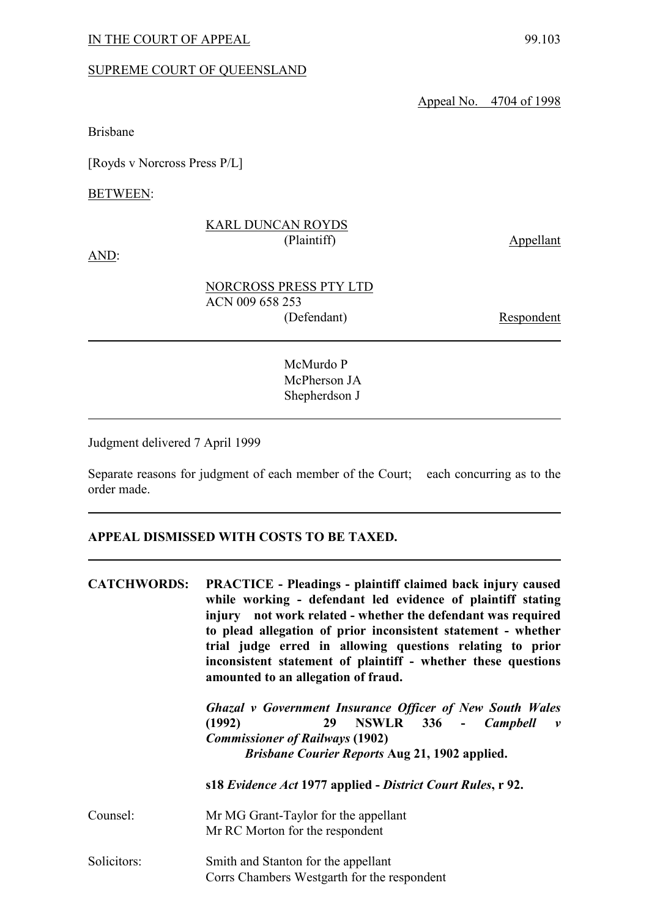### SUPREME COURT OF QUEENSLAND

Appeal No. 4704 of 1998

Brisbane

[Royds v Norcross Press P/L]

BETWEEN:

### KARL DUNCAN ROYDS (Plaintiff) Appellant

AND:

Respondent

McMurdo P McPherson JA Shepherdson J

Judgment delivered 7 April 1999

Separate reasons for judgment of each member of the Court; each concurring as to the order made.

### **APPEAL DISMISSED WITH COSTS TO BE TAXED.**

| <b>CATCHWORDS:</b> | <b>PRACTICE</b> - Pleadings - plaintiff claimed back injury caused<br>while working - defendant led evidence of plaintiff stating<br>injury not work related - whether the defendant was required<br>to plead allegation of prior inconsistent statement - whether<br>trial judge erred in allowing questions relating to prior<br>inconsistent statement of plaintiff - whether these questions<br>amounted to an allegation of fraud. |
|--------------------|-----------------------------------------------------------------------------------------------------------------------------------------------------------------------------------------------------------------------------------------------------------------------------------------------------------------------------------------------------------------------------------------------------------------------------------------|
|                    | <b>Ghazal v Government Insurance Officer of New South Wales</b><br>29 NSWLR 336 - Campbell<br>(1992)<br>$\mathbf{v}$<br><b>Commissioner of Railways (1902)</b><br><i>Brisbane Courier Reports Aug 21, 1902 applied.</i>                                                                                                                                                                                                                 |
|                    | s18 Evidence Act 1977 applied - District Court Rules, r 92.                                                                                                                                                                                                                                                                                                                                                                             |
| Counsel:           | Mr MG Grant-Taylor for the appellant<br>Mr RC Morton for the respondent                                                                                                                                                                                                                                                                                                                                                                 |
| Solicitors:        | Smith and Stanton for the appellant<br>Corrs Chambers Westgarth for the respondent                                                                                                                                                                                                                                                                                                                                                      |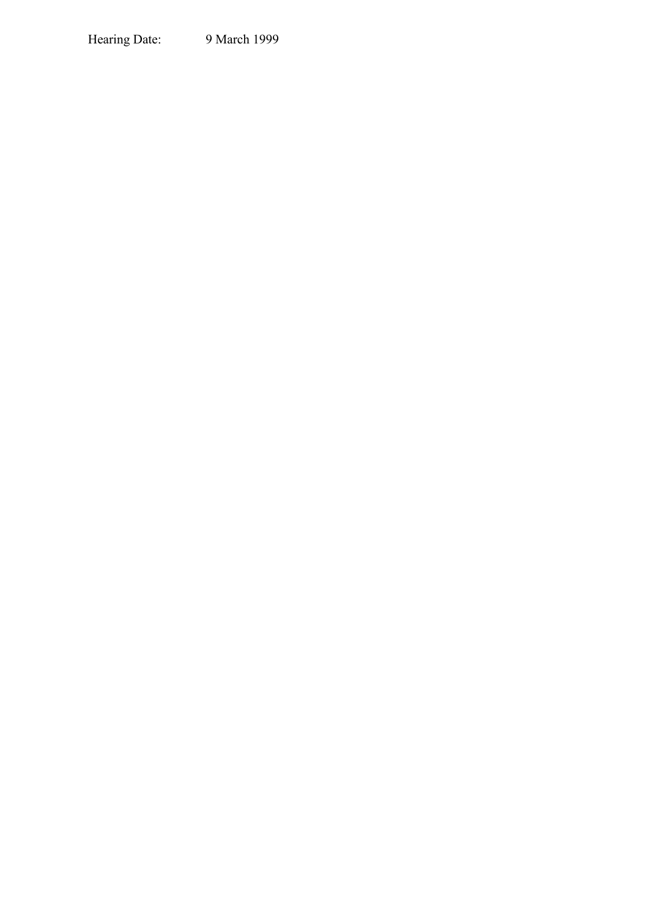Hearing Date: 9 March 1999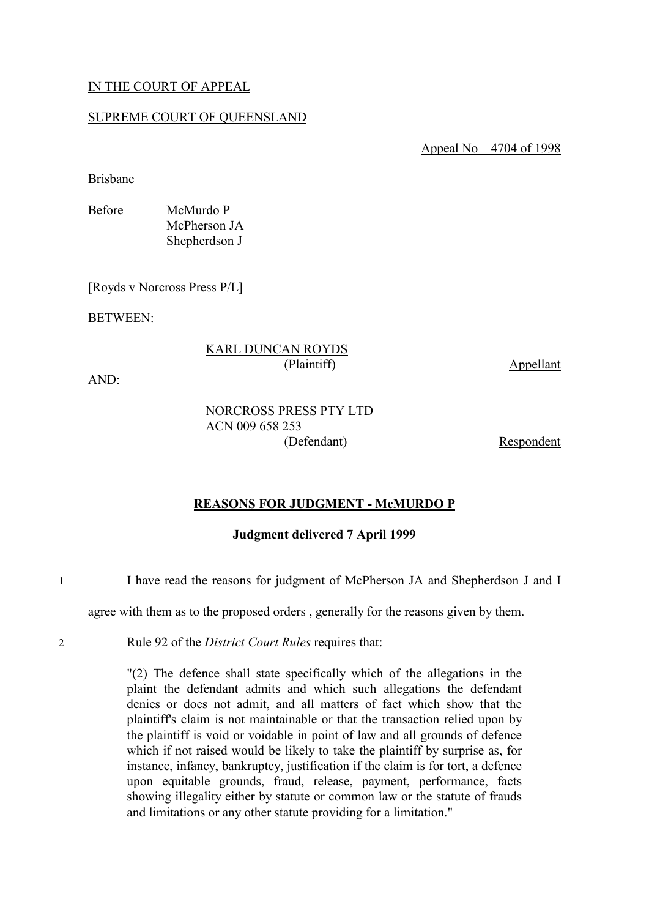### IN THE COURT OF APPEAL

### SUPREME COURT OF QUEENSLAND

Appeal No 4704 of 1998

Brisbane

Before McMurdo P McPherson JA Shepherdson J

[Royds v Norcross Press P/L]

BETWEEN:

### KARL DUNCAN ROYDS (Plaintiff) Appellant

AND:

NORCROSS PRESS PTY LTD ACN 009 658 253 (Defendant) Respondent

### **REASONS FOR JUDGMENT - McMURDO P**

### **Judgment delivered 7 April 1999**

1 I have read the reasons for judgment of McPherson JA and Shepherdson J and I

agree with them as to the proposed orders , generally for the reasons given by them.

2 Rule 92 of the *District Court Rules* requires that:

"(2) The defence shall state specifically which of the allegations in the plaint the defendant admits and which such allegations the defendant denies or does not admit, and all matters of fact which show that the plaintiff's claim is not maintainable or that the transaction relied upon by the plaintiff is void or voidable in point of law and all grounds of defence which if not raised would be likely to take the plaintiff by surprise as, for instance, infancy, bankruptcy, justification if the claim is for tort, a defence upon equitable grounds, fraud, release, payment, performance, facts showing illegality either by statute or common law or the statute of frauds and limitations or any other statute providing for a limitation."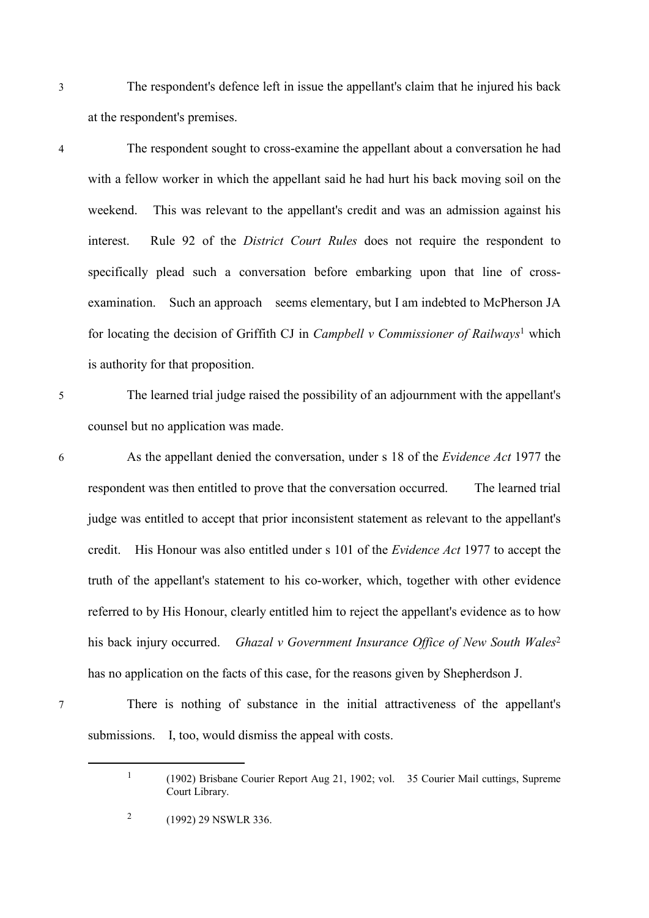3 The respondent's defence left in issue the appellant's claim that he injured his back at the respondent's premises.

4 The respondent sought to cross-examine the appellant about a conversation he had with a fellow worker in which the appellant said he had hurt his back moving soil on the weekend. This was relevant to the appellant's credit and was an admission against his interest. Rule 92 of the *District Court Rules* does not require the respondent to specifically plead such a conversation before embarking upon that line of crossexamination. Such an approach seems elementary, but I am indebted to McPherson JA for locating the decision of Griffith CJ in *Campbell v Commissioner of Railways*<sup>1</sup> which is authority for that proposition.

5 The learned trial judge raised the possibility of an adjournment with the appellant's counsel but no application was made.

6 As the appellant denied the conversation, under s 18 of the *Evidence Act* 1977 the respondent was then entitled to prove that the conversation occurred. The learned trial judge was entitled to accept that prior inconsistent statement as relevant to the appellant's credit. His Honour was also entitled under s 101 of the *Evidence Act* 1977 to accept the truth of the appellant's statement to his co-worker, which, together with other evidence referred to by His Honour, clearly entitled him to reject the appellant's evidence as to how his back injury occurred. *Ghazal v Government Insurance Office of New South Wales*<sup>2</sup> has no application on the facts of this case, for the reasons given by Shepherdson J.

7 There is nothing of substance in the initial attractiveness of the appellant's submissions. I, too, would dismiss the appeal with costs.

1

<sup>(1902)</sup> Brisbane Courier Report Aug 21, 1902; vol. 35 Courier Mail cuttings, Supreme Court Library.

<sup>2</sup> (1992) 29 NSWLR 336.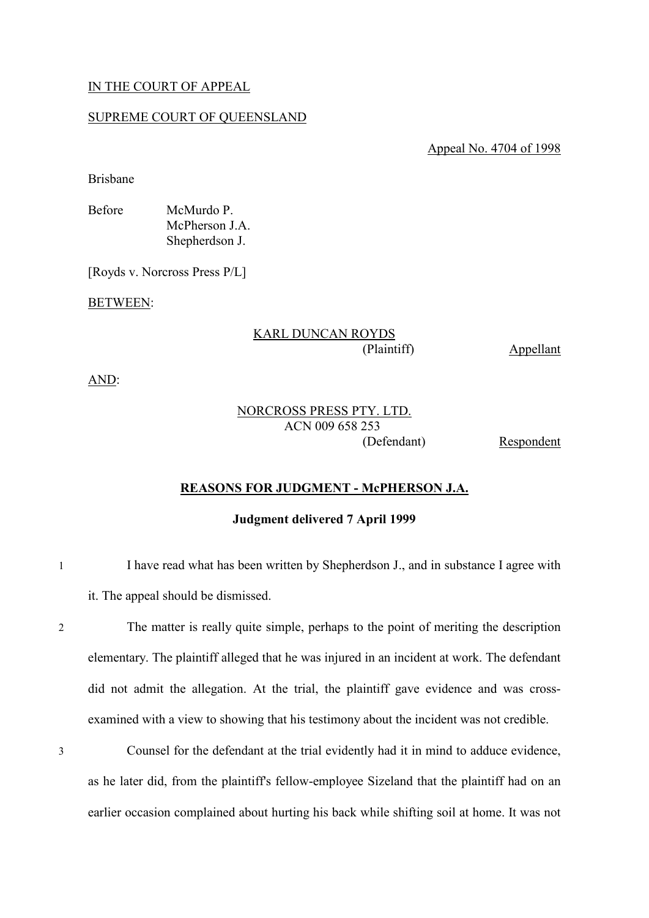### IN THE COURT OF APPEAL

### SUPREME COURT OF QUEENSLAND

Appeal No. 4704 of 1998

Brisbane

Before McMurdo P. McPherson J.A. Shepherdson J.

[Royds v. Norcross Press P/L]

BETWEEN:

# KARL DUNCAN ROYDS

(Plaintiff) Appellant

AND:

# NORCROSS PRESS PTY. LTD. ACN 009 658 253

(Defendant) Respondent

### **REASONS FOR JUDGMENT - McPHERSON J.A.**

### **Judgment delivered 7 April 1999**

1 I have read what has been written by Shepherdson J., and in substance I agree with it. The appeal should be dismissed.

2 The matter is really quite simple, perhaps to the point of meriting the description elementary. The plaintiff alleged that he was injured in an incident at work. The defendant did not admit the allegation. At the trial, the plaintiff gave evidence and was crossexamined with a view to showing that his testimony about the incident was not credible.

3 Counsel for the defendant at the trial evidently had it in mind to adduce evidence, as he later did, from the plaintiff's fellow-employee Sizeland that the plaintiff had on an earlier occasion complained about hurting his back while shifting soil at home. It was not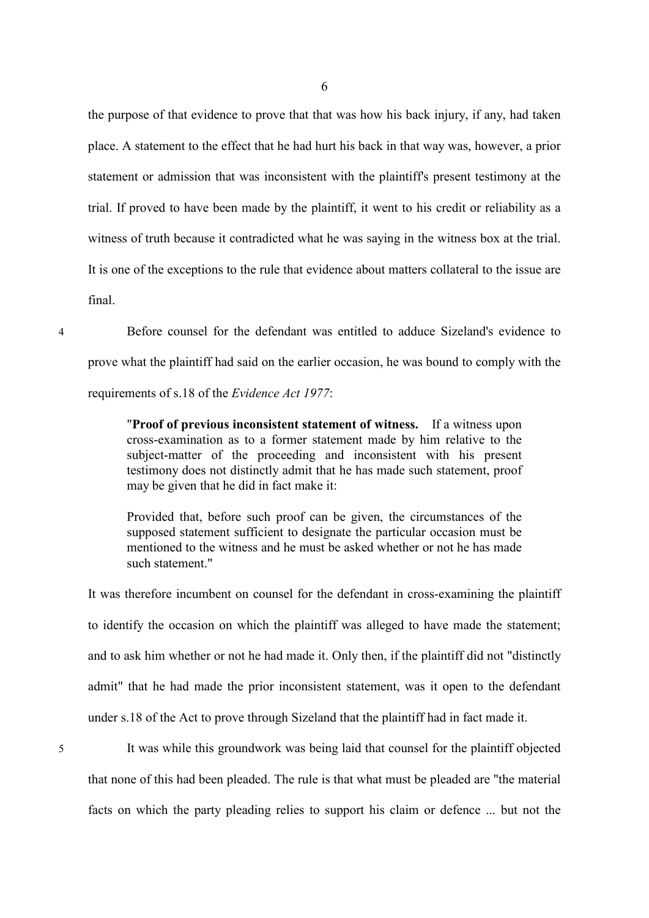the purpose of that evidence to prove that that was how his back injury, if any, had taken place. A statement to the effect that he had hurt his back in that way was, however, a prior statement or admission that was inconsistent with the plaintiff's present testimony at the trial. If proved to have been made by the plaintiff, it went to his credit or reliability as a witness of truth because it contradicted what he was saying in the witness box at the trial. It is one of the exceptions to the rule that evidence about matters collateral to the issue are final.

4 Before counsel for the defendant was entitled to adduce Sizeland's evidence to prove what the plaintiff had said on the earlier occasion, he was bound to comply with the requirements of s.18 of the *Evidence Act 1977*:

> "**Proof of previous inconsistent statement of witness.** If a witness upon cross-examination as to a former statement made by him relative to the subject-matter of the proceeding and inconsistent with his present testimony does not distinctly admit that he has made such statement, proof may be given that he did in fact make it:

> Provided that, before such proof can be given, the circumstances of the supposed statement sufficient to designate the particular occasion must be mentioned to the witness and he must be asked whether or not he has made such statement."

It was therefore incumbent on counsel for the defendant in cross-examining the plaintiff to identify the occasion on which the plaintiff was alleged to have made the statement; and to ask him whether or not he had made it. Only then, if the plaintiff did not "distinctly admit" that he had made the prior inconsistent statement, was it open to the defendant under s.18 of the Act to prove through Sizeland that the plaintiff had in fact made it.

5 It was while this groundwork was being laid that counsel for the plaintiff objected that none of this had been pleaded. The rule is that what must be pleaded are "the material facts on which the party pleading relies to support his claim or defence ... but not the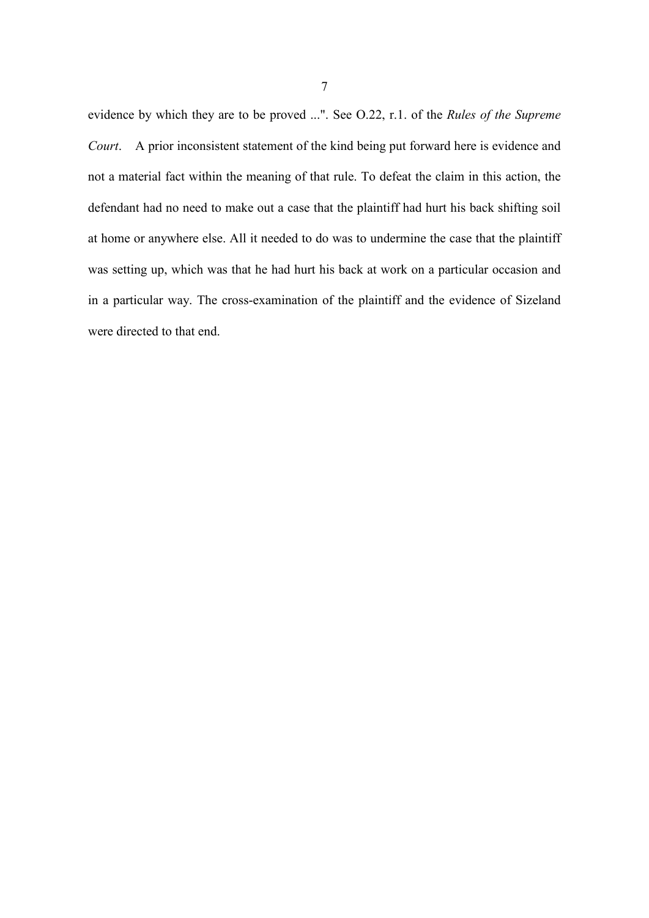evidence by which they are to be proved ...". See O.22, r.1. of the *Rules of the Supreme Court*. A prior inconsistent statement of the kind being put forward here is evidence and not a material fact within the meaning of that rule. To defeat the claim in this action, the defendant had no need to make out a case that the plaintiff had hurt his back shifting soil at home or anywhere else. All it needed to do was to undermine the case that the plaintiff was setting up, which was that he had hurt his back at work on a particular occasion and in a particular way. The cross-examination of the plaintiff and the evidence of Sizeland were directed to that end.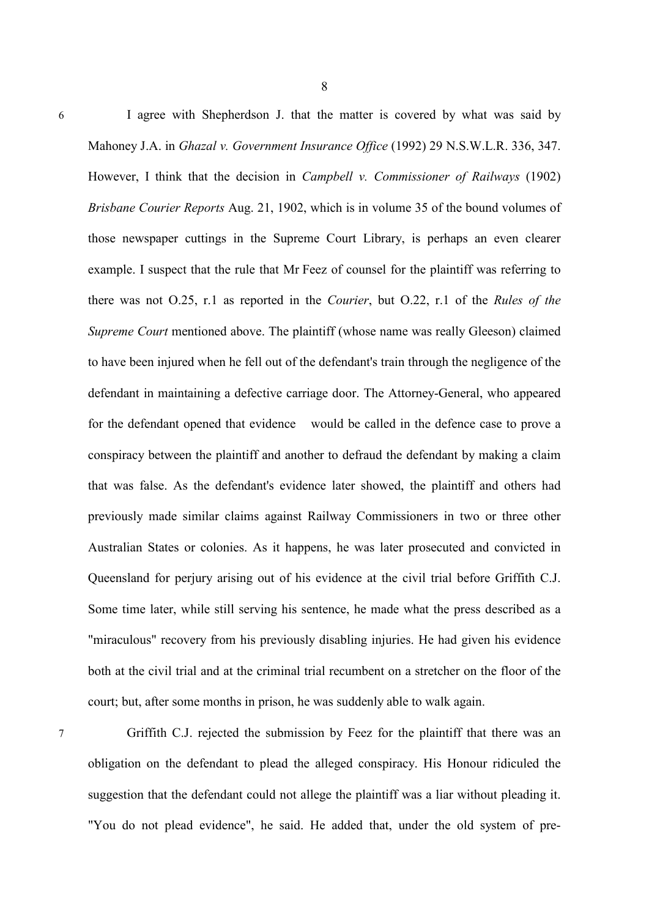6 I agree with Shepherdson J. that the matter is covered by what was said by Mahoney J.A. in *Ghazal v. Government Insurance Office* (1992) 29 N.S.W.L.R. 336, 347. However, I think that the decision in *Campbell v. Commissioner of Railways* (1902) *Brisbane Courier Reports* Aug. 21, 1902, which is in volume 35 of the bound volumes of those newspaper cuttings in the Supreme Court Library, is perhaps an even clearer example. I suspect that the rule that Mr Feez of counsel for the plaintiff was referring to there was not O.25, r.1 as reported in the *Courier*, but O.22, r.1 of the *Rules of the Supreme Court* mentioned above. The plaintiff (whose name was really Gleeson) claimed to have been injured when he fell out of the defendant's train through the negligence of the defendant in maintaining a defective carriage door. The Attorney-General, who appeared for the defendant opened that evidence would be called in the defence case to prove a conspiracy between the plaintiff and another to defraud the defendant by making a claim that was false. As the defendant's evidence later showed, the plaintiff and others had previously made similar claims against Railway Commissioners in two or three other Australian States or colonies. As it happens, he was later prosecuted and convicted in Queensland for perjury arising out of his evidence at the civil trial before Griffith C.J. Some time later, while still serving his sentence, he made what the press described as a "miraculous" recovery from his previously disabling injuries. He had given his evidence both at the civil trial and at the criminal trial recumbent on a stretcher on the floor of the court; but, after some months in prison, he was suddenly able to walk again.

7 Griffith C.J. rejected the submission by Feez for the plaintiff that there was an obligation on the defendant to plead the alleged conspiracy. His Honour ridiculed the suggestion that the defendant could not allege the plaintiff was a liar without pleading it. "You do not plead evidence", he said. He added that, under the old system of pre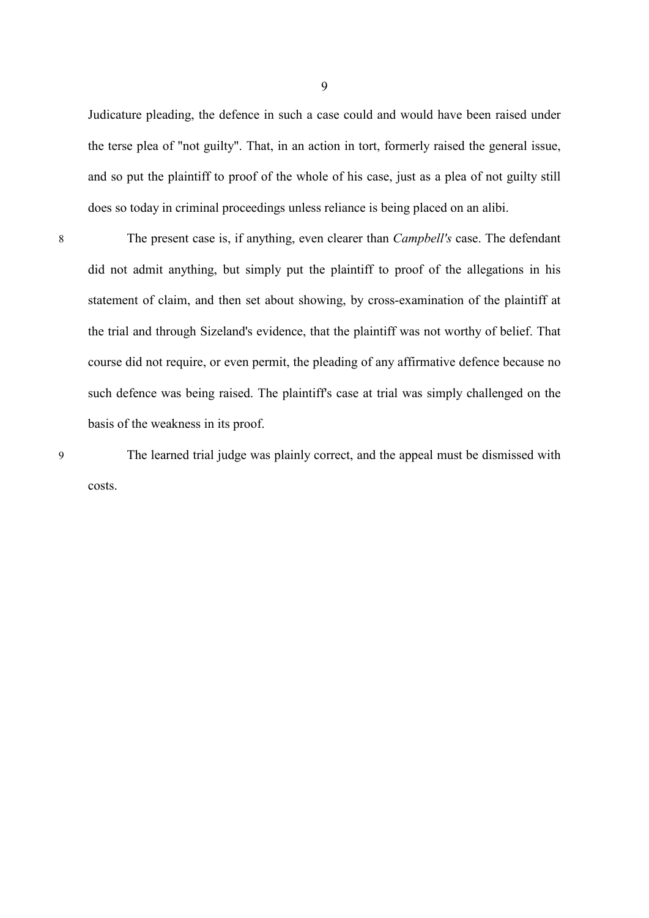Judicature pleading, the defence in such a case could and would have been raised under the terse plea of "not guilty". That, in an action in tort, formerly raised the general issue, and so put the plaintiff to proof of the whole of his case, just as a plea of not guilty still does so today in criminal proceedings unless reliance is being placed on an alibi.

8 The present case is, if anything, even clearer than *Campbell's* case. The defendant did not admit anything, but simply put the plaintiff to proof of the allegations in his statement of claim, and then set about showing, by cross-examination of the plaintiff at the trial and through Sizeland's evidence, that the plaintiff was not worthy of belief. That course did not require, or even permit, the pleading of any affirmative defence because no such defence was being raised. The plaintiff's case at trial was simply challenged on the basis of the weakness in its proof.

9 The learned trial judge was plainly correct, and the appeal must be dismissed with costs.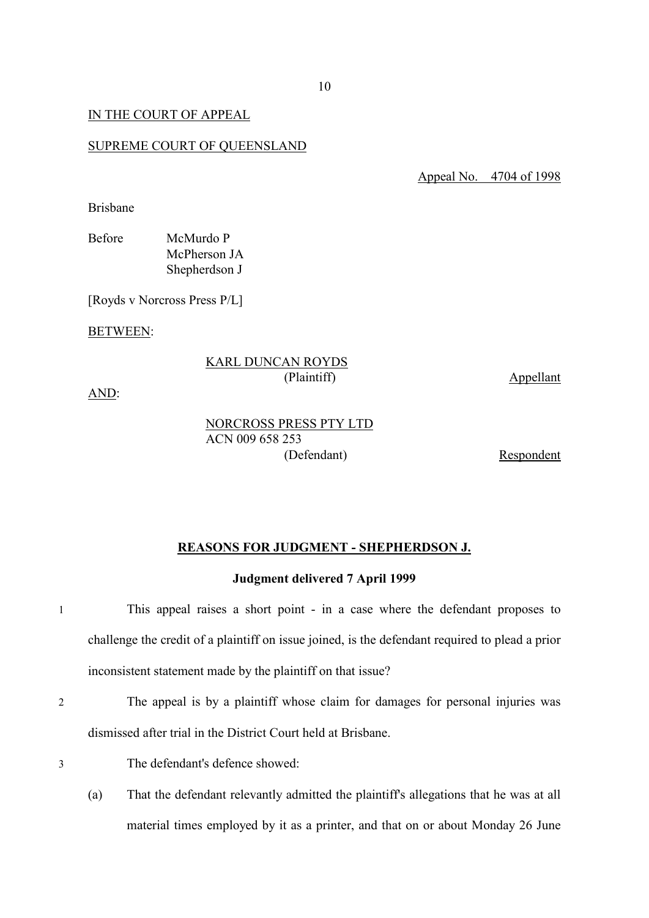### IN THE COURT OF APPEAL

#### SUPREME COURT OF QUEENSLAND

Appeal No. 4704 of 1998

Brisbane

| Before | McMurdo P     |
|--------|---------------|
|        | McPherson JA  |
|        | Shepherdson J |

[Royds v Norcross Press P/L]

BETWEEN:

### KARL DUNCAN ROYDS (Plaintiff) Appellant

AND:

NORCROSS PRESS PTY LTD ACN 009 658 253 (Defendant) Respondent

**REASONS FOR JUDGMENT - SHEPHERDSON J.**

**Judgment delivered 7 April 1999**

1 This appeal raises a short point - in a case where the defendant proposes to challenge the credit of a plaintiff on issue joined, is the defendant required to plead a prior inconsistent statement made by the plaintiff on that issue?

- 2 The appeal is by a plaintiff whose claim for damages for personal injuries was dismissed after trial in the District Court held at Brisbane.
- 
- 3 The defendant's defence showed:
	- (a) That the defendant relevantly admitted the plaintiff's allegations that he was at all material times employed by it as a printer, and that on or about Monday 26 June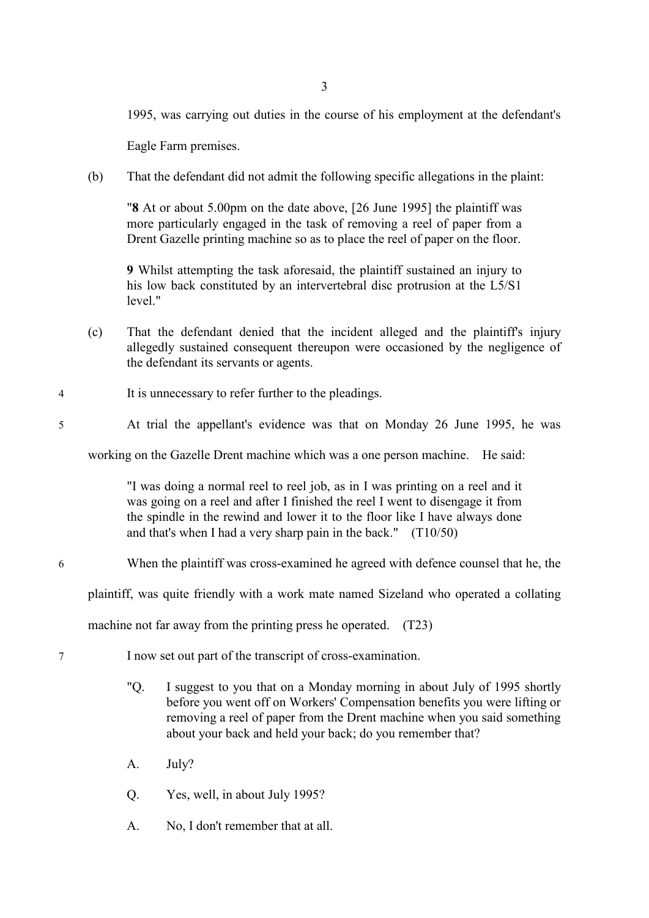1995, was carrying out duties in the course of his employment at the defendant's

Eagle Farm premises.

(b) That the defendant did not admit the following specific allegations in the plaint:

"**8** At or about 5.00pm on the date above, [26 June 1995] the plaintiff was more particularly engaged in the task of removing a reel of paper from a Drent Gazelle printing machine so as to place the reel of paper on the floor.

**9** Whilst attempting the task aforesaid, the plaintiff sustained an injury to his low back constituted by an intervertebral disc protrusion at the L5/S1 level."

- (c) That the defendant denied that the incident alleged and the plaintiff's injury allegedly sustained consequent thereupon were occasioned by the negligence of the defendant its servants or agents.
- 4 It is unnecessary to refer further to the pleadings.
- 5 At trial the appellant's evidence was that on Monday 26 June 1995, he was

working on the Gazelle Drent machine which was a one person machine. He said:

"I was doing a normal reel to reel job, as in I was printing on a reel and it was going on a reel and after I finished the reel I went to disengage it from the spindle in the rewind and lower it to the floor like I have always done and that's when I had a very sharp pain in the back." (T10/50)

### 6 When the plaintiff was cross-examined he agreed with defence counsel that he, the

plaintiff, was quite friendly with a work mate named Sizeland who operated a collating

machine not far away from the printing press he operated. (T23)

- 7 I now set out part of the transcript of cross-examination.
	- "Q. I suggest to you that on a Monday morning in about July of 1995 shortly before you went off on Workers' Compensation benefits you were lifting or removing a reel of paper from the Drent machine when you said something about your back and held your back; do you remember that?
	- A. July?
	- Q. Yes, well, in about July 1995?
	- A. No, I don't remember that at all.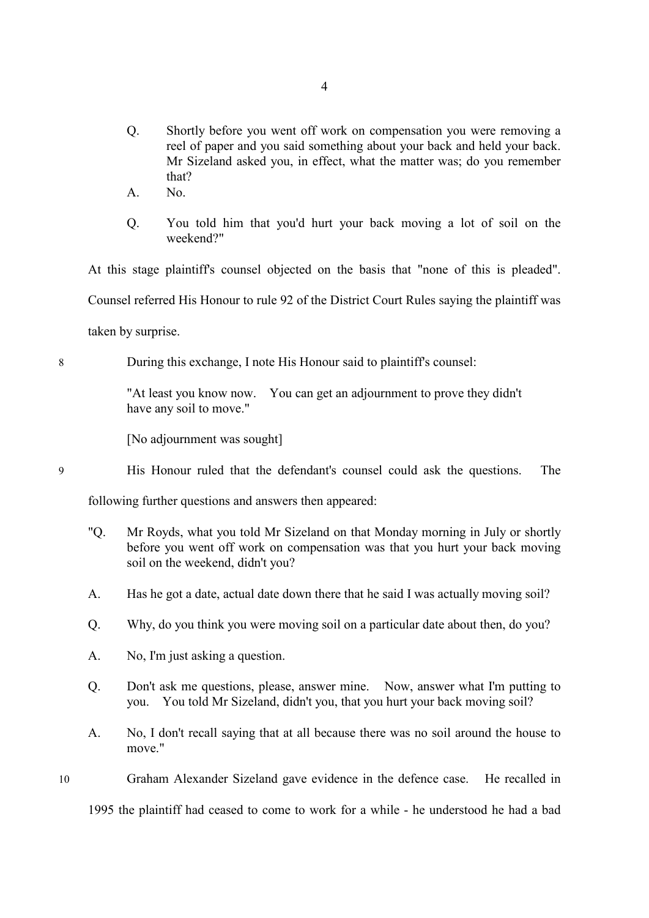- Q. Shortly before you went off work on compensation you were removing a reel of paper and you said something about your back and held your back. Mr Sizeland asked you, in effect, what the matter was; do you remember that?
- A. No.
- Q. You told him that you'd hurt your back moving a lot of soil on the weekend?"

At this stage plaintiff's counsel objected on the basis that "none of this is pleaded". Counsel referred His Honour to rule 92 of the District Court Rules saying the plaintiff was taken by surprise.

8 During this exchange, I note His Honour said to plaintiff's counsel:

"At least you know now. You can get an adjournment to prove they didn't have any soil to move."

[No adjournment was sought]

9 His Honour ruled that the defendant's counsel could ask the questions. The

following further questions and answers then appeared:

- "Q. Mr Royds, what you told Mr Sizeland on that Monday morning in July or shortly before you went off work on compensation was that you hurt your back moving soil on the weekend, didn't you?
- A. Has he got a date, actual date down there that he said I was actually moving soil?
- Q. Why, do you think you were moving soil on a particular date about then, do you?
- A. No, I'm just asking a question.
- Q. Don't ask me questions, please, answer mine. Now, answer what I'm putting to you. You told Mr Sizeland, didn't you, that you hurt your back moving soil?
- A. No, I don't recall saying that at all because there was no soil around the house to move."
- 10 Graham Alexander Sizeland gave evidence in the defence case. He recalled in

1995 the plaintiff had ceased to come to work for a while - he understood he had a bad

4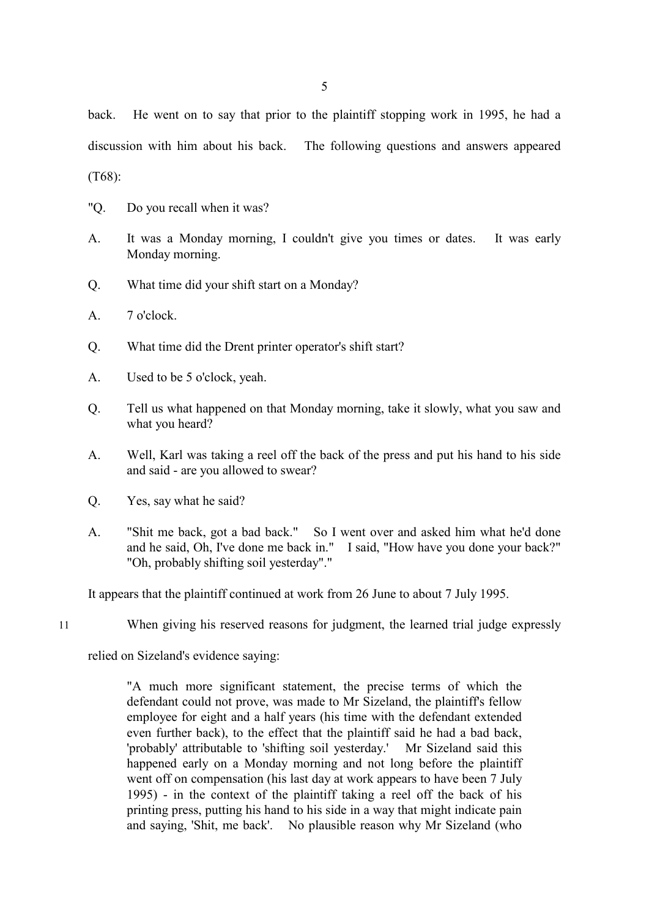back. He went on to say that prior to the plaintiff stopping work in 1995, he had a discussion with him about his back. The following questions and answers appeared

(T68):

- "Q. Do you recall when it was?
- A. It was a Monday morning, I couldn't give you times or dates. It was early Monday morning.
- Q. What time did your shift start on a Monday?
- A. 7 o'clock.
- Q. What time did the Drent printer operator's shift start?
- A. Used to be 5 o'clock, yeah.
- Q. Tell us what happened on that Monday morning, take it slowly, what you saw and what you heard?
- A. Well, Karl was taking a reel off the back of the press and put his hand to his side and said - are you allowed to swear?
- Q. Yes, say what he said?
- A. "Shit me back, got a bad back." So I went over and asked him what he'd done and he said, Oh, I've done me back in." I said, "How have you done your back?" "Oh, probably shifting soil yesterday"."

It appears that the plaintiff continued at work from 26 June to about 7 July 1995.

11 When giving his reserved reasons for judgment, the learned trial judge expressly

relied on Sizeland's evidence saying:

"A much more significant statement, the precise terms of which the defendant could not prove, was made to Mr Sizeland, the plaintiff's fellow employee for eight and a half years (his time with the defendant extended even further back), to the effect that the plaintiff said he had a bad back, 'probably' attributable to 'shifting soil yesterday.' Mr Sizeland said this happened early on a Monday morning and not long before the plaintiff went off on compensation (his last day at work appears to have been 7 July 1995) - in the context of the plaintiff taking a reel off the back of his printing press, putting his hand to his side in a way that might indicate pain and saying, 'Shit, me back'. No plausible reason why Mr Sizeland (who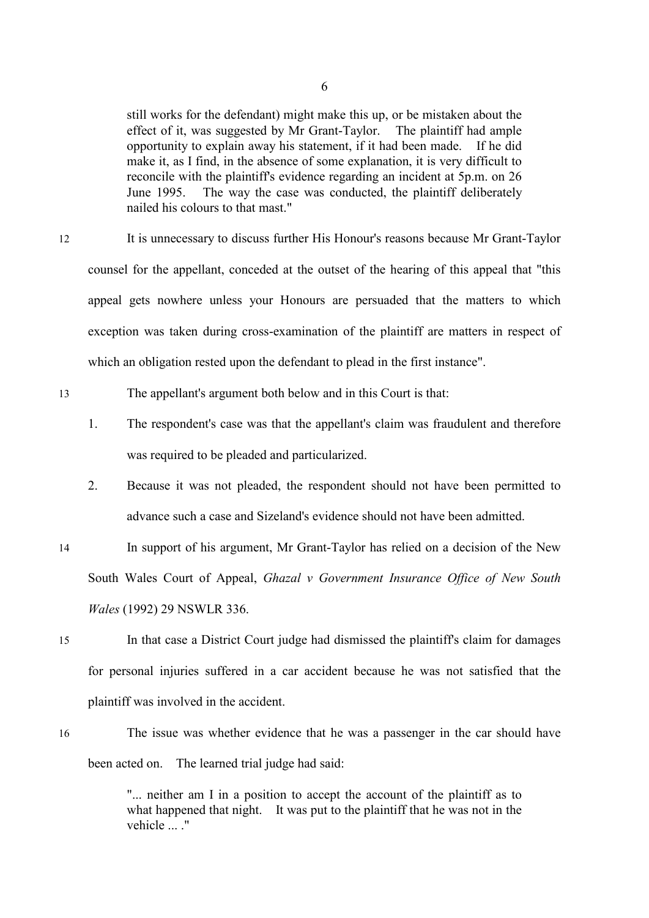still works for the defendant) might make this up, or be mistaken about the effect of it, was suggested by Mr Grant-Taylor. The plaintiff had ample opportunity to explain away his statement, if it had been made. If he did make it, as I find, in the absence of some explanation, it is very difficult to reconcile with the plaintiff's evidence regarding an incident at 5p.m. on 26 June 1995. The way the case was conducted, the plaintiff deliberately nailed his colours to that mast."

12 It is unnecessary to discuss further His Honour's reasons because Mr Grant-Taylor counsel for the appellant, conceded at the outset of the hearing of this appeal that "this appeal gets nowhere unless your Honours are persuaded that the matters to which exception was taken during cross-examination of the plaintiff are matters in respect of which an obligation rested upon the defendant to plead in the first instance".

13 The appellant's argument both below and in this Court is that:

- 1. The respondent's case was that the appellant's claim was fraudulent and therefore was required to be pleaded and particularized.
- 2. Because it was not pleaded, the respondent should not have been permitted to advance such a case and Sizeland's evidence should not have been admitted.
- 14 In support of his argument, Mr Grant-Taylor has relied on a decision of the New South Wales Court of Appeal, *Ghazal v Government Insurance Office of New South Wales* (1992) 29 NSWLR 336.
- 15 In that case a District Court judge had dismissed the plaintiff's claim for damages for personal injuries suffered in a car accident because he was not satisfied that the plaintiff was involved in the accident.
- 16 The issue was whether evidence that he was a passenger in the car should have been acted on. The learned trial judge had said:

"... neither am I in a position to accept the account of the plaintiff as to what happened that night. It was put to the plaintiff that he was not in the vehicle ... ."

6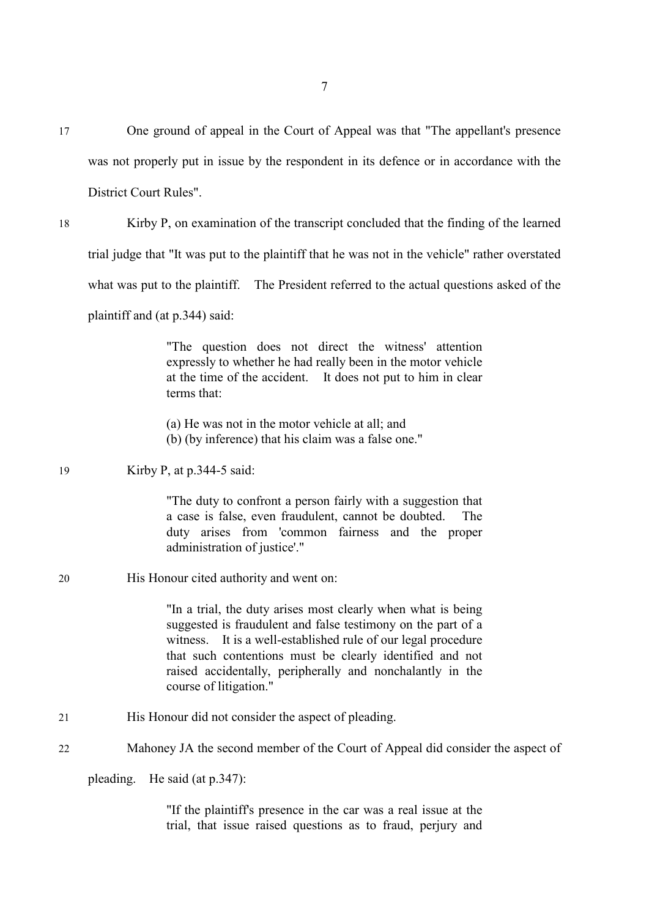17 One ground of appeal in the Court of Appeal was that "The appellant's presence was not properly put in issue by the respondent in its defence or in accordance with the District Court Rules".

18 Kirby P, on examination of the transcript concluded that the finding of the learned trial judge that "It was put to the plaintiff that he was not in the vehicle" rather overstated what was put to the plaintiff. The President referred to the actual questions asked of the plaintiff and (at p.344) said:

> "The question does not direct the witness' attention expressly to whether he had really been in the motor vehicle at the time of the accident. It does not put to him in clear terms that:

(a) He was not in the motor vehicle at all; and

(b) (by inference) that his claim was a false one."

# 19 Kirby P, at p.344-5 said:

"The duty to confront a person fairly with a suggestion that a case is false, even fraudulent, cannot be doubted. The duty arises from 'common fairness and the proper administration of justice'."

# 20 His Honour cited authority and went on:

"In a trial, the duty arises most clearly when what is being suggested is fraudulent and false testimony on the part of a witness. It is a well-established rule of our legal procedure that such contentions must be clearly identified and not raised accidentally, peripherally and nonchalantly in the course of litigation."

21 His Honour did not consider the aspect of pleading.

# 22 Mahoney JA the second member of the Court of Appeal did consider the aspect of

pleading. He said (at p.347):

"If the plaintiff's presence in the car was a real issue at the trial, that issue raised questions as to fraud, perjury and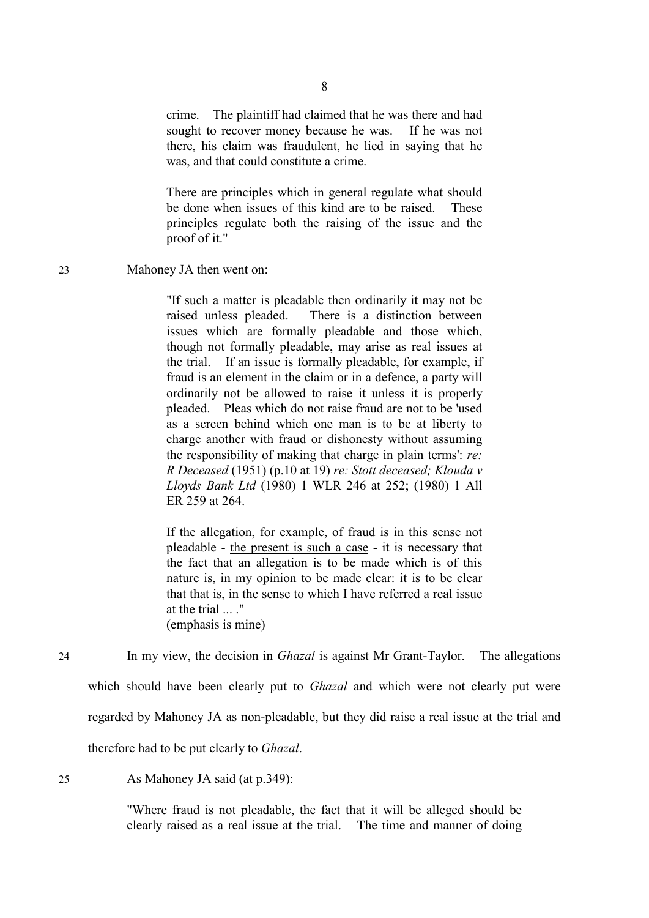crime. The plaintiff had claimed that he was there and had sought to recover money because he was. If he was not there, his claim was fraudulent, he lied in saying that he was, and that could constitute a crime.

There are principles which in general regulate what should be done when issues of this kind are to be raised. These principles regulate both the raising of the issue and the proof of it."

23 Mahoney JA then went on:

"If such a matter is pleadable then ordinarily it may not be raised unless pleaded. There is a distinction between issues which are formally pleadable and those which, though not formally pleadable, may arise as real issues at the trial. If an issue is formally pleadable, for example, if fraud is an element in the claim or in a defence, a party will ordinarily not be allowed to raise it unless it is properly pleaded. Pleas which do not raise fraud are not to be 'used as a screen behind which one man is to be at liberty to charge another with fraud or dishonesty without assuming the responsibility of making that charge in plain terms': *re: R Deceased* (1951) (p.10 at 19) *re: Stott deceased; Klouda v Lloyds Bank Ltd* (1980) 1 WLR 246 at 252; (1980) 1 All ER 259 at 264.

If the allegation, for example, of fraud is in this sense not pleadable - the present is such a case - it is necessary that the fact that an allegation is to be made which is of this nature is, in my opinion to be made clear: it is to be clear that that is, in the sense to which I have referred a real issue at the trial ... ." (emphasis is mine)

24 In my view, the decision in *Ghazal* is against Mr Grant-Taylor. The allegations

which should have been clearly put to *Ghazal* and which were not clearly put were

regarded by Mahoney JA as non-pleadable, but they did raise a real issue at the trial and

therefore had to be put clearly to *Ghazal*.

25 As Mahoney JA said (at p.349):

"Where fraud is not pleadable, the fact that it will be alleged should be clearly raised as a real issue at the trial. The time and manner of doing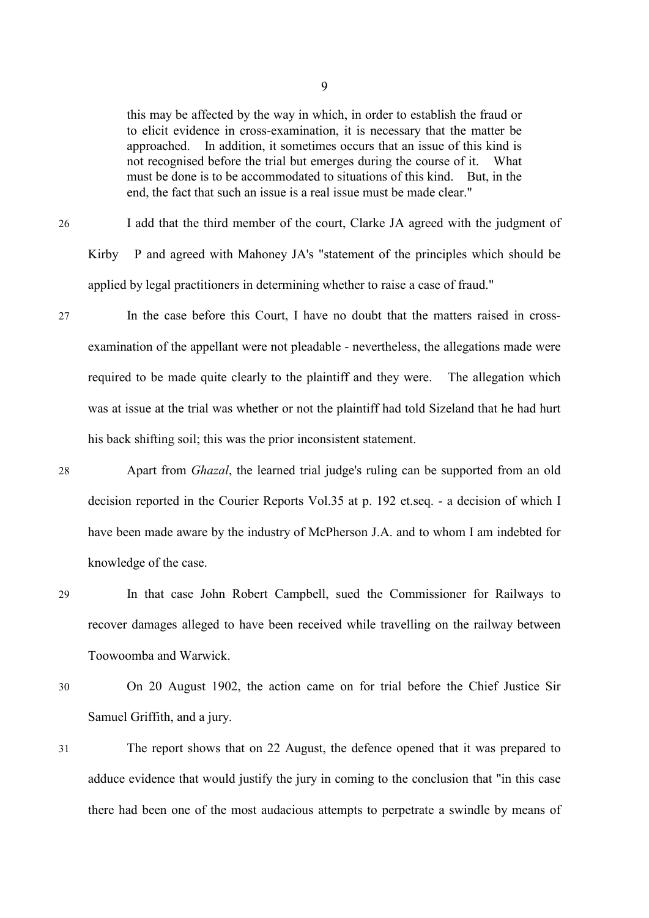this may be affected by the way in which, in order to establish the fraud or to elicit evidence in cross-examination, it is necessary that the matter be approached. In addition, it sometimes occurs that an issue of this kind is not recognised before the trial but emerges during the course of it. What must be done is to be accommodated to situations of this kind. But, in the end, the fact that such an issue is a real issue must be made clear."

26 I add that the third member of the court, Clarke JA agreed with the judgment of Kirby P and agreed with Mahoney JA's "statement of the principles which should be applied by legal practitioners in determining whether to raise a case of fraud."

- 27 In the case before this Court, I have no doubt that the matters raised in crossexamination of the appellant were not pleadable - nevertheless, the allegations made were required to be made quite clearly to the plaintiff and they were. The allegation which was at issue at the trial was whether or not the plaintiff had told Sizeland that he had hurt his back shifting soil; this was the prior inconsistent statement.
- 28 Apart from *Ghazal*, the learned trial judge's ruling can be supported from an old decision reported in the Courier Reports Vol.35 at p. 192 et.seq. - a decision of which I have been made aware by the industry of McPherson J.A. and to whom I am indebted for knowledge of the case.
- 29 In that case John Robert Campbell, sued the Commissioner for Railways to recover damages alleged to have been received while travelling on the railway between Toowoomba and Warwick.
- 30 On 20 August 1902, the action came on for trial before the Chief Justice Sir Samuel Griffith, and a jury.
- 31 The report shows that on 22 August, the defence opened that it was prepared to adduce evidence that would justify the jury in coming to the conclusion that "in this case there had been one of the most audacious attempts to perpetrate a swindle by means of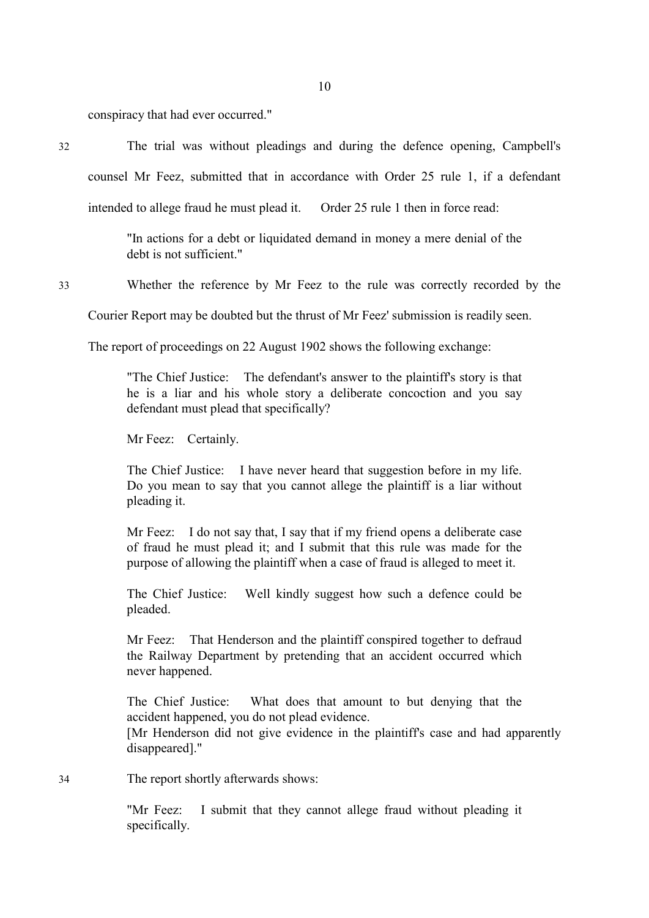conspiracy that had ever occurred."

32 The trial was without pleadings and during the defence opening, Campbell's

counsel Mr Feez, submitted that in accordance with Order 25 rule 1, if a defendant

intended to allege fraud he must plead it. Order 25 rule 1 then in force read:

"In actions for a debt or liquidated demand in money a mere denial of the debt is not sufficient."

33 Whether the reference by Mr Feez to the rule was correctly recorded by the

Courier Report may be doubted but the thrust of Mr Feez' submission is readily seen.

The report of proceedings on 22 August 1902 shows the following exchange:

"The Chief Justice: The defendant's answer to the plaintiff's story is that he is a liar and his whole story a deliberate concoction and you say defendant must plead that specifically?

Mr Feez: Certainly.

The Chief Justice: I have never heard that suggestion before in my life. Do you mean to say that you cannot allege the plaintiff is a liar without pleading it.

Mr Feez: I do not say that, I say that if my friend opens a deliberate case of fraud he must plead it; and I submit that this rule was made for the purpose of allowing the plaintiff when a case of fraud is alleged to meet it.

The Chief Justice: Well kindly suggest how such a defence could be pleaded.

Mr Feez: That Henderson and the plaintiff conspired together to defraud the Railway Department by pretending that an accident occurred which never happened.

The Chief Justice: What does that amount to but denying that the accident happened, you do not plead evidence.

 [Mr Henderson did not give evidence in the plaintiff's case and had apparently disappeared]."

34 The report shortly afterwards shows:

"Mr Feez: I submit that they cannot allege fraud without pleading it specifically.